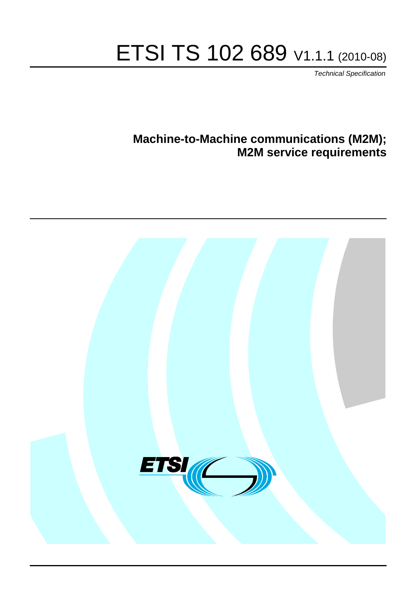# ETSI TS 102 689 V1.1.1 (2010-08)

*Technical Specification*

# **Machine-to-Machine communications (M2M); M2M service requirements**

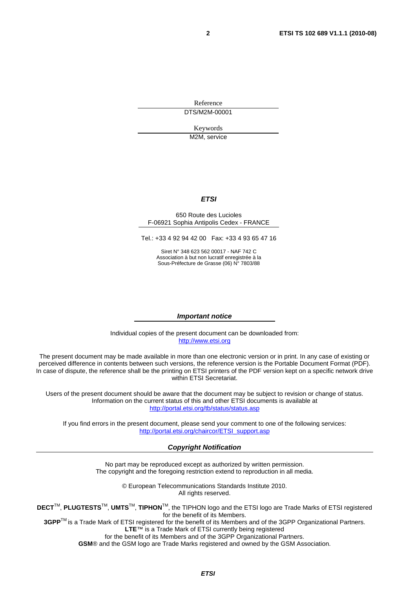Reference DTS/M2M-00001

Keywords

M2M, service

#### *ETSI*

#### 650 Route des Lucioles F-06921 Sophia Antipolis Cedex - FRANCE

Tel.: +33 4 92 94 42 00 Fax: +33 4 93 65 47 16

Siret N° 348 623 562 00017 - NAF 742 C Association à but non lucratif enregistrée à la Sous-Préfecture de Grasse (06) N° 7803/88

#### *Important notice*

Individual copies of the present document can be downloaded from: [http://www.etsi.org](http://www.etsi.org/)

The present document may be made available in more than one electronic version or in print. In any case of existing or perceived difference in contents between such versions, the reference version is the Portable Document Format (PDF). In case of dispute, the reference shall be the printing on ETSI printers of the PDF version kept on a specific network drive within ETSI Secretariat.

Users of the present document should be aware that the document may be subject to revision or change of status. Information on the current status of this and other ETSI documents is available at <http://portal.etsi.org/tb/status/status.asp>

If you find errors in the present document, please send your comment to one of the following services: [http://portal.etsi.org/chaircor/ETSI\\_support.asp](http://portal.etsi.org/chaircor/ETSI_support.asp)

#### *Copyright Notification*

No part may be reproduced except as authorized by written permission. The copyright and the foregoing restriction extend to reproduction in all media.

> © European Telecommunications Standards Institute 2010. All rights reserved.

**DECT**TM, **PLUGTESTS**TM, **UMTS**TM, **TIPHON**TM, the TIPHON logo and the ETSI logo are Trade Marks of ETSI registered for the benefit of its Members.

**3GPP**TM is a Trade Mark of ETSI registered for the benefit of its Members and of the 3GPP Organizational Partners. **LTE**™ is a Trade Mark of ETSI currently being registered

for the benefit of its Members and of the 3GPP Organizational Partners.

**GSM**® and the GSM logo are Trade Marks registered and owned by the GSM Association.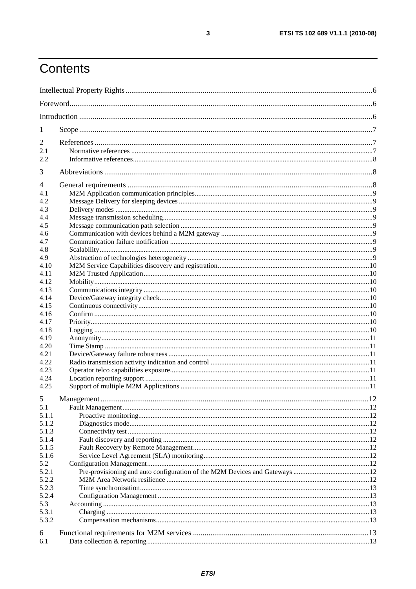# Contents

| 1              |  |  |
|----------------|--|--|
| $\overline{2}$ |  |  |
| 2.1            |  |  |
| 2.2            |  |  |
| 3              |  |  |
| $\overline{4}$ |  |  |
| 4.1            |  |  |
| 4.2            |  |  |
| 4.3            |  |  |
| 4.4            |  |  |
| 4.5            |  |  |
| 4.6            |  |  |
| 4.7            |  |  |
| 4.8            |  |  |
| 4.9            |  |  |
| 4.10           |  |  |
| 4.11           |  |  |
| 4.12           |  |  |
| 4.13           |  |  |
| 4.14           |  |  |
| 4.15           |  |  |
| 4.16           |  |  |
| 4.17           |  |  |
| 4.18           |  |  |
| 4.19           |  |  |
| 4.20           |  |  |
| 4.21           |  |  |
| 4.22           |  |  |
| 4.23           |  |  |
| 4.24           |  |  |
| 4.25           |  |  |
|                |  |  |
| 5.1            |  |  |
| 5.1.1          |  |  |
| 5.1.2          |  |  |
| 5.1.3          |  |  |
| 5.1.4          |  |  |
| 5.1.5          |  |  |
| 5.1.6          |  |  |
| 5.2            |  |  |
| 5.2.1          |  |  |
| 5.2.2          |  |  |
| 5.2.3          |  |  |
| 5.2.4          |  |  |
| 5.3            |  |  |
| 5.3.1          |  |  |
| 5.3.2          |  |  |
| 6              |  |  |
| 6.1            |  |  |
|                |  |  |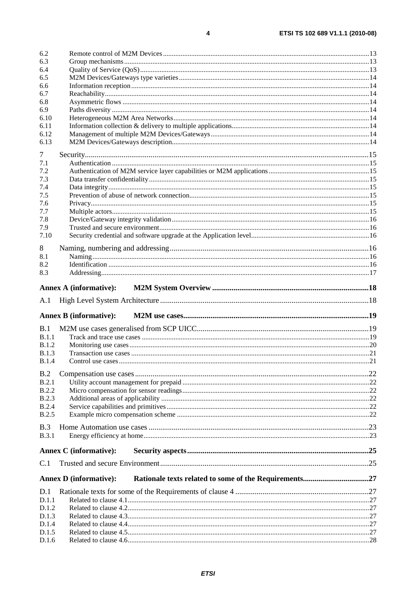| 6.3          |                               |    |  |  |  |
|--------------|-------------------------------|----|--|--|--|
| 6.4          |                               |    |  |  |  |
| 6.5          |                               |    |  |  |  |
| 6.6          |                               |    |  |  |  |
| 6.7          |                               |    |  |  |  |
| 6.8          |                               |    |  |  |  |
| 6.9          |                               |    |  |  |  |
| 6.10         |                               |    |  |  |  |
| 6.11         |                               |    |  |  |  |
| 6.12         |                               |    |  |  |  |
| 6.13         |                               |    |  |  |  |
| 7            |                               |    |  |  |  |
| 7.1          |                               |    |  |  |  |
| 7.2          |                               |    |  |  |  |
| 7.3          |                               |    |  |  |  |
| 7.4          |                               |    |  |  |  |
| 7.5          |                               |    |  |  |  |
| 7.6          |                               |    |  |  |  |
| 7.7          |                               |    |  |  |  |
| 7.8          |                               |    |  |  |  |
| 7.9          |                               |    |  |  |  |
| 7.10         |                               |    |  |  |  |
| 8            |                               |    |  |  |  |
| 8.1          |                               |    |  |  |  |
| 8.2          |                               |    |  |  |  |
| 8.3          |                               |    |  |  |  |
| A.1          |                               |    |  |  |  |
|              |                               |    |  |  |  |
|              | <b>Annex B (informative):</b> |    |  |  |  |
| B.1          |                               |    |  |  |  |
| B.1.1        |                               |    |  |  |  |
| <b>B.1.2</b> |                               |    |  |  |  |
| <b>B.1.3</b> |                               |    |  |  |  |
| <b>B.1.4</b> |                               |    |  |  |  |
|              |                               |    |  |  |  |
| B.2<br>B.2.1 |                               |    |  |  |  |
| <b>B.2.2</b> |                               |    |  |  |  |
| <b>B.2.3</b> |                               |    |  |  |  |
| <b>B.2.4</b> |                               |    |  |  |  |
| <b>B.2.5</b> |                               |    |  |  |  |
|              |                               |    |  |  |  |
| B.3          |                               |    |  |  |  |
| <b>B.3.1</b> |                               |    |  |  |  |
|              | <b>Annex C</b> (informative): |    |  |  |  |
| C.1          |                               |    |  |  |  |
|              | <b>Annex D</b> (informative): |    |  |  |  |
| D.1          |                               |    |  |  |  |
| D.1.1        |                               |    |  |  |  |
| D.1.2        |                               |    |  |  |  |
| D.1.3        |                               |    |  |  |  |
| D.1.4        |                               |    |  |  |  |
| D.1.5<br>D16 | Related to clause 4.6         | 28 |  |  |  |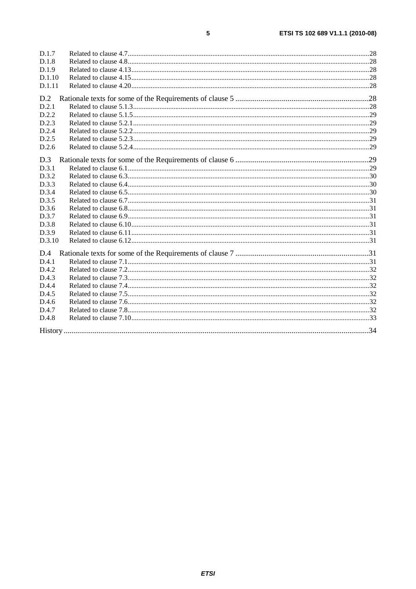| D.1.7  |  |
|--------|--|
| D.1.8  |  |
| D.1.9  |  |
| D.1.10 |  |
| D.1.11 |  |
| D.2    |  |
| D.2.1  |  |
| D.2.2  |  |
| D.2.3  |  |
| D.2.4  |  |
| D.2.5  |  |
| D.2.6  |  |
| D.3    |  |
| D.3.1  |  |
| D.3.2  |  |
| D.3.3  |  |
| D.3.4  |  |
| D.3.5  |  |
| D.3.6  |  |
| D.3.7  |  |
| D.3.8  |  |
| D.3.9  |  |
| D.3.10 |  |
| D.4    |  |
| D.4.1  |  |
| D.4.2  |  |
| D.4.3  |  |
| D.4.4  |  |
| D.4.5  |  |
| D.4.6  |  |
| D.4.7  |  |
| D.4.8  |  |
|        |  |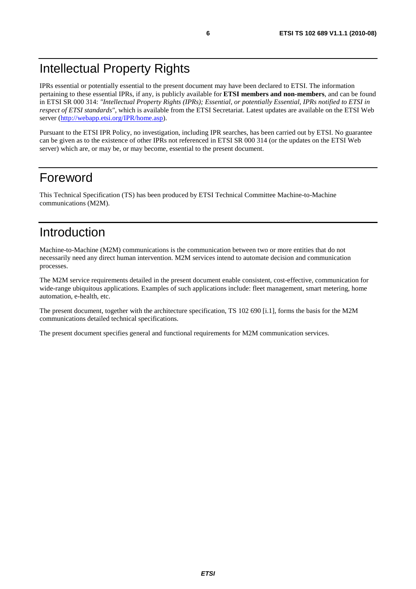# Intellectual Property Rights

IPRs essential or potentially essential to the present document may have been declared to ETSI. The information pertaining to these essential IPRs, if any, is publicly available for **ETSI members and non-members**, and can be found in ETSI SR 000 314: *"Intellectual Property Rights (IPRs); Essential, or potentially Essential, IPRs notified to ETSI in respect of ETSI standards"*, which is available from the ETSI Secretariat. Latest updates are available on the ETSI Web server ([http://webapp.etsi.org/IPR/home.asp\)](http://webapp.etsi.org/IPR/home.asp).

Pursuant to the ETSI IPR Policy, no investigation, including IPR searches, has been carried out by ETSI. No guarantee can be given as to the existence of other IPRs not referenced in ETSI SR 000 314 (or the updates on the ETSI Web server) which are, or may be, or may become, essential to the present document.

### Foreword

This Technical Specification (TS) has been produced by ETSI Technical Committee Machine-to-Machine communications (M2M).

# Introduction

Machine-to-Machine (M2M) communications is the communication between two or more entities that do not necessarily need any direct human intervention. M2M services intend to automate decision and communication processes.

The M2M service requirements detailed in the present document enable consistent, cost-effective, communication for wide-range ubiquitous applications. Examples of such applications include: fleet management, smart metering, home automation, e-health, etc.

The present document, together with the architecture specification, TS 102 690 [i.1], forms the basis for the M2M communications detailed technical specifications.

The present document specifies general and functional requirements for M2M communication services.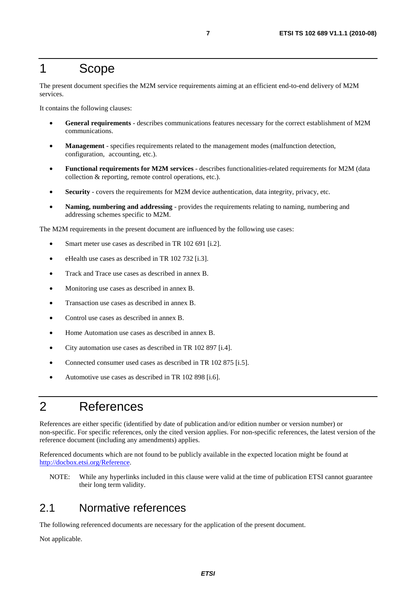### 1 Scope

The present document specifies the M2M service requirements aiming at an efficient end-to-end delivery of M2M services.

It contains the following clauses:

- **General requirements** describes communications features necessary for the correct establishment of M2M communications.
- **Management** specifies requirements related to the management modes (malfunction detection, configuration, accounting, etc.).
- **Functional requirements for M2M services** describes functionalities-related requirements for M2M (data collection & reporting, remote control operations, etc.).
- **Security**  covers the requirements for M2M device authentication, data integrity, privacy, etc.
- **Naming, numbering and addressing** provides the requirements relating to naming, numbering and addressing schemes specific to M2M.

The M2M requirements in the present document are influenced by the following use cases:

- Smart meter use cases as described in TR 102 691 [i.2].
- eHealth use cases as described in TR 102 732 [i.3].
- Track and Trace use cases as described in annex B.
- Monitoring use cases as described in annex B.
- Transaction use cases as described in annex B.
- Control use cases as described in annex B.
- Home Automation use cases as described in annex B.
- City automation use cases as described in TR 102 897 [i.4].
- Connected consumer used cases as described in TR 102 875 [i.5].
- Automotive use cases as described in TR 102 898 [i.6].

# 2 References

References are either specific (identified by date of publication and/or edition number or version number) or non-specific. For specific references, only the cited version applies. For non-specific references, the latest version of the reference document (including any amendments) applies.

Referenced documents which are not found to be publicly available in the expected location might be found at [http://docbox.etsi.org/Reference.](http://docbox.etsi.org/Reference)

NOTE: While any hyperlinks included in this clause were valid at the time of publication ETSI cannot guarantee their long term validity.

#### 2.1 Normative references

The following referenced documents are necessary for the application of the present document.

Not applicable.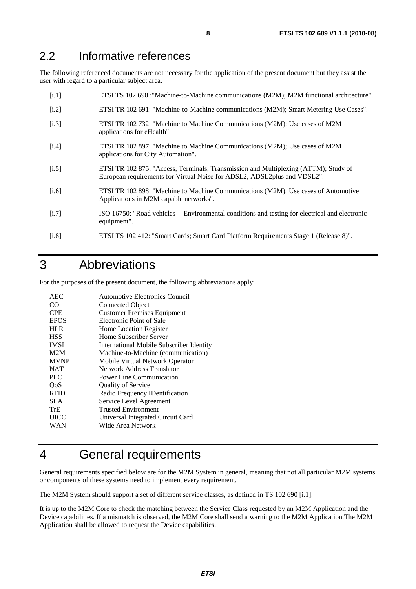#### 2.2 Informative references

The following referenced documents are not necessary for the application of the present document but they assist the user with regard to a particular subject area.

| [i.1]   | ETSI TS 102 690 : "Machine-to-Machine communications (M2M); M2M functional architecture".                                                                       |
|---------|-----------------------------------------------------------------------------------------------------------------------------------------------------------------|
| $[1.2]$ | ETSI TR 102 691: "Machine-to-Machine communications (M2M); Smart Metering Use Cases".                                                                           |
| [i.3]   | ETSI TR 102 732: "Machine to Machine Communications (M2M); Use cases of M2M<br>applications for eHealth".                                                       |
| [i.4]   | ETSI TR 102 897: "Machine to Machine Communications (M2M); Use cases of M2M<br>applications for City Automation".                                               |
| [i.5]   | ETSI TR 102 875: "Access, Terminals, Transmission and Multiplexing (ATTM); Study of<br>European requirements for Virtual Noise for ADSL2, ADSL2plus and VDSL2". |
| [i.6]   | ETSI TR 102 898: "Machine to Machine Communications (M2M); Use cases of Automotive<br>Applications in M2M capable networks".                                    |
| [i.7]   | ISO 16750: "Road vehicles -- Environmental conditions and testing for electrical and electronic<br>equipment".                                                  |
|         |                                                                                                                                                                 |

#### [i.8] ETSI TS 102 412: "Smart Cards; Smart Card Platform Requirements Stage 1 (Release 8)".

# 3 Abbreviations

For the purposes of the present document, the following abbreviations apply:

| AEC.        | Automotive Electronics Council                  |
|-------------|-------------------------------------------------|
| CO.         | Connected Object                                |
| <b>CPE</b>  | <b>Customer Premises Equipment</b>              |
| <b>EPOS</b> | Electronic Point of Sale                        |
| <b>HLR</b>  | <b>Home Location Register</b>                   |
| <b>HSS</b>  | Home Subscriber Server                          |
| <b>IMSI</b> | <b>International Mobile Subscriber Identity</b> |
| M2M         | Machine-to-Machine (communication)              |
| <b>MVNP</b> | Mobile Virtual Network Operator                 |
| <b>NAT</b>  | Network Address Translator                      |
| <b>PLC</b>  | Power Line Communication                        |
| QoS         | <b>Quality of Service</b>                       |
| <b>RFID</b> | Radio Frequency IDentification                  |
| <b>SLA</b>  | Service Level Agreement                         |
| TrE         | <b>Trusted Environment</b>                      |
| <b>UICC</b> | Universal Integrated Circuit Card               |
| WAN         | Wide Area Network                               |
|             |                                                 |

# 4 General requirements

General requirements specified below are for the M2M System in general, meaning that not all particular M2M systems or components of these systems need to implement every requirement.

The M2M System should support a set of different service classes, as defined in TS 102 690 [i.1].

It is up to the M2M Core to check the matching between the Service Class requested by an M2M Application and the Device capabilities. If a mismatch is observed, the M2M Core shall send a warning to the M2M Application.The M2M Application shall be allowed to request the Device capabilities.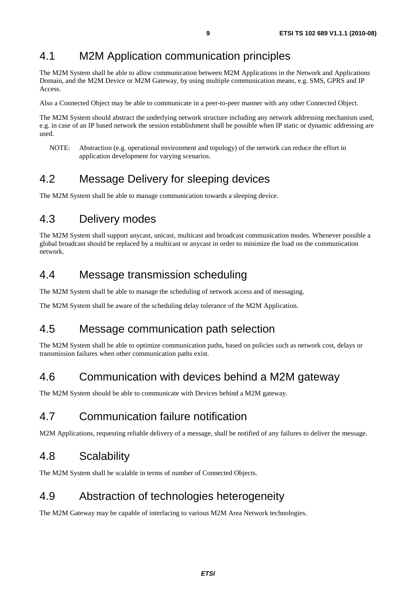### 4.1 M2M Application communication principles

The M2M System shall be able to allow communication between M2M Applications in the Network and Applications Domain, and the M2M Device or M2M Gateway, by using multiple communication means, e.g. SMS, GPRS and IP Access.

Also a Connected Object may be able to communicate in a peer-to-peer manner with any other Connected Object.

The M2M System should abstract the underlying network structure including any network addressing mechanism used, e.g. in case of an IP based network the session establishment shall be possible when IP static or dynamic addressing are used.

NOTE: Abstraction (e.g. operational environment and topology) of the network can reduce the effort in application development for varying scenarios.

### 4.2 Message Delivery for sleeping devices

The M2M System shall be able to manage communication towards a sleeping device.

# 4.3 Delivery modes

The M2M System shall support anycast, unicast, multicast and broadcast communication modes. Whenever possible a global broadcast should be replaced by a multicast or anycast in order to minimize the load on the communication network.

#### 4.4 Message transmission scheduling

The M2M System shall be able to manage the scheduling of network access and of messaging.

The M2M System shall be aware of the scheduling delay tolerance of the M2M Application.

#### 4.5 Message communication path selection

The M2M System shall be able to optimize communication paths, based on policies such as network cost, delays or transmission failures when other communication paths exist.

#### 4.6 Communication with devices behind a M2M gateway

The M2M System should be able to communicate with Devices behind a M2M gateway.

### 4.7 Communication failure notification

M2M Applications, requesting reliable delivery of a message, shall be notified of any failures to deliver the message.

#### 4.8 Scalability

The M2M System shall be scalable in terms of number of Connected Objects.

#### 4.9 Abstraction of technologies heterogeneity

The M2M Gateway may be capable of interfacing to various M2M Area Network technologies.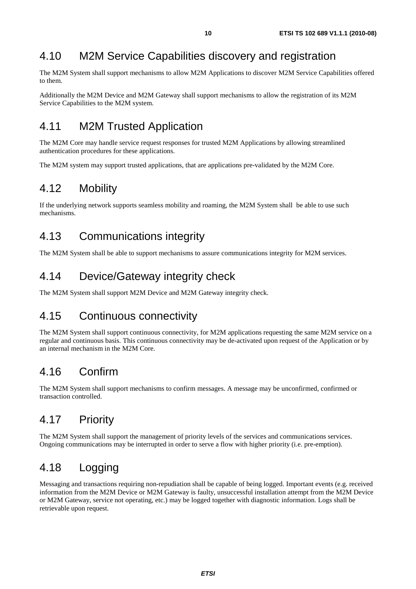# 4.10 M2M Service Capabilities discovery and registration

The M2M System shall support mechanisms to allow M2M Applications to discover M2M Service Capabilities offered to them.

Additionally the M2M Device and M2M Gateway shall support mechanisms to allow the registration of its M2M Service Capabilities to the M2M system.

# 4.11 M2M Trusted Application

The M2M Core may handle service request responses for trusted M2M Applications by allowing streamlined authentication procedures for these applications.

The M2M system may support trusted applications, that are applications pre-validated by the M2M Core.

#### 4.12 Mobility

If the underlying network supports seamless mobility and roaming, the M2M System shall be able to use such mechanisms.

# 4.13 Communications integrity

The M2M System shall be able to support mechanisms to assure communications integrity for M2M services.

#### 4.14 Device/Gateway integrity check

The M2M System shall support M2M Device and M2M Gateway integrity check.

### 4.15 Continuous connectivity

The M2M System shall support continuous connectivity, for M2M applications requesting the same M2M service on a regular and continuous basis. This continuous connectivity may be de-activated upon request of the Application or by an internal mechanism in the M2M Core.

# 4.16 Confirm

The M2M System shall support mechanisms to confirm messages. A message may be unconfirmed, confirmed or transaction controlled.

# 4.17 Priority

The M2M System shall support the management of priority levels of the services and communications services. Ongoing communications may be interrupted in order to serve a flow with higher priority (i.e. pre-emption).

### 4.18 Logging

Messaging and transactions requiring non-repudiation shall be capable of being logged. Important events (e.g. received information from the M2M Device or M2M Gateway is faulty, unsuccessful installation attempt from the M2M Device or M2M Gateway, service not operating, etc.) may be logged together with diagnostic information. Logs shall be retrievable upon request.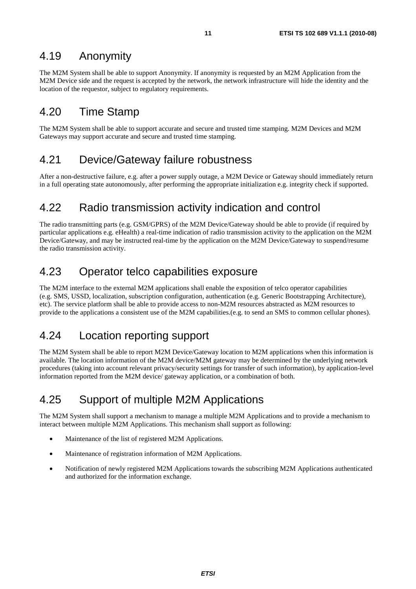#### 4.19 Anonymity

The M2M System shall be able to support Anonymity. If anonymity is requested by an M2M Application from the M2M Device side and the request is accepted by the network, the network infrastructure will hide the identity and the location of the requestor, subject to regulatory requirements.

#### 4.20 Time Stamp

The M2M System shall be able to support accurate and secure and trusted time stamping. M2M Devices and M2M Gateways may support accurate and secure and trusted time stamping.

### 4.21 Device/Gateway failure robustness

After a non-destructive failure, e.g. after a power supply outage, a M2M Device or Gateway should immediately return in a full operating state autonomously, after performing the appropriate initialization e.g. integrity check if supported.

#### 4.22 Radio transmission activity indication and control

The radio transmitting parts (e.g. GSM/GPRS) of the M2M Device/Gateway should be able to provide (if required by particular applications e.g. eHealth) a real-time indication of radio transmission activity to the application on the M2M Device/Gateway, and may be instructed real-time by the application on the M2M Device/Gateway to suspend/resume the radio transmission activity.

#### 4.23 Operator telco capabilities exposure

The M2M interface to the external M2M applications shall enable the exposition of telco operator capabilities (e.g. SMS, USSD, localization, subscription configuration, authentication (e.g. Generic Bootstrapping Architecture), etc). The service platform shall be able to provide access to non-M2M resources abstracted as M2M resources to provide to the applications a consistent use of the M2M capabilities.(e.g. to send an SMS to common cellular phones).

# 4.24 Location reporting support

The M2M System shall be able to report M2M Device/Gateway location to M2M applications when this information is available. The location information of the M2M device/M2M gateway may be determined by the underlying network procedures (taking into account relevant privacy/security settings for transfer of such information), by application-level information reported from the M2M device/ gateway application, or a combination of both.

# 4.25 Support of multiple M2M Applications

The M2M System shall support a mechanism to manage a multiple M2M Applications and to provide a mechanism to interact between multiple M2M Applications. This mechanism shall support as following:

- Maintenance of the list of registered M2M Applications.
- Maintenance of registration information of M2M Applications.
- Notification of newly registered M2M Applications towards the subscribing M2M Applications authenticated and authorized for the information exchange.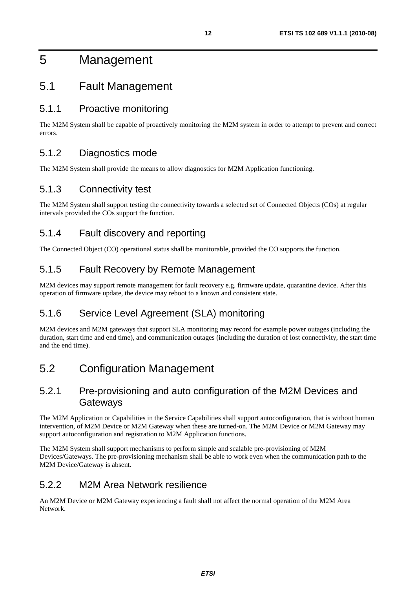# 5 Management

#### 5.1 Fault Management

#### 5.1.1 Proactive monitoring

The M2M System shall be capable of proactively monitoring the M2M system in order to attempt to prevent and correct errors.

#### 5.1.2 Diagnostics mode

The M2M System shall provide the means to allow diagnostics for M2M Application functioning.

#### 5.1.3 Connectivity test

The M2M System shall support testing the connectivity towards a selected set of Connected Objects (COs) at regular intervals provided the COs support the function.

#### 5.1.4 Fault discovery and reporting

The Connected Object (CO) operational status shall be monitorable, provided the CO supports the function.

#### 5.1.5 Fault Recovery by Remote Management

M2M devices may support remote management for fault recovery e.g. firmware update, quarantine device. After this operation of firmware update, the device may reboot to a known and consistent state.

#### 5.1.6 Service Level Agreement (SLA) monitoring

M2M devices and M2M gateways that support SLA monitoring may record for example power outages (including the duration, start time and end time), and communication outages (including the duration of lost connectivity, the start time and the end time).

### 5.2 Configuration Management

#### 5.2.1 Pre-provisioning and auto configuration of the M2M Devices and **Gateways**

The M2M Application or Capabilities in the Service Capabilities shall support autoconfiguration, that is without human intervention, of M2M Device or M2M Gateway when these are turned-on. The M2M Device or M2M Gateway may support autoconfiguration and registration to M2M Application functions.

The M2M System shall support mechanisms to perform simple and scalable pre-provisioning of M2M Devices/Gateways. The pre-provisioning mechanism shall be able to work even when the communication path to the M2M Device/Gateway is absent.

#### 5.2.2 M2M Area Network resilience

An M2M Device or M2M Gateway experiencing a fault shall not affect the normal operation of the M2M Area Network.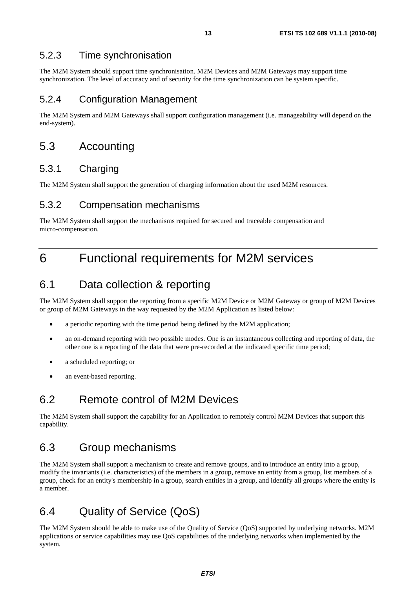#### 5.2.3 Time synchronisation

The M2M System should support time synchronisation. M2M Devices and M2M Gateways may support time synchronization. The level of accuracy and of security for the time synchronization can be system specific.

#### 5.2.4 Configuration Management

The M2M System and M2M Gateways shall support configuration management (i.e. manageability will depend on the end-system).

#### 5.3 Accounting

#### 5.3.1 Charging

The M2M System shall support the generation of charging information about the used M2M resources.

#### 5.3.2 Compensation mechanisms

The M2M System shall support the mechanisms required for secured and traceable compensation and micro-compensation.

# 6 Functional requirements for M2M services

#### 6.1 Data collection & reporting

The M2M System shall support the reporting from a specific M2M Device or M2M Gateway or group of M2M Devices or group of M2M Gateways in the way requested by the M2M Application as listed below:

- a periodic reporting with the time period being defined by the M2M application;
- an on-demand reporting with two possible modes. One is an instantaneous collecting and reporting of data, the other one is a reporting of the data that were pre-recorded at the indicated specific time period;
- a scheduled reporting; or
- an event-based reporting.

#### 6.2 Remote control of M2M Devices

The M2M System shall support the capability for an Application to remotely control M2M Devices that support this capability.

#### 6.3 Group mechanisms

The M2M System shall support a mechanism to create and remove groups, and to introduce an entity into a group, modify the invariants (i.e. characteristics) of the members in a group, remove an entity from a group, list members of a group, check for an entity's membership in a group, search entities in a group, and identify all groups where the entity is a member.

### 6.4 Quality of Service (QoS)

The M2M System should be able to make use of the Quality of Service (QoS) supported by underlying networks. M2M applications or service capabilities may use QoS capabilities of the underlying networks when implemented by the system.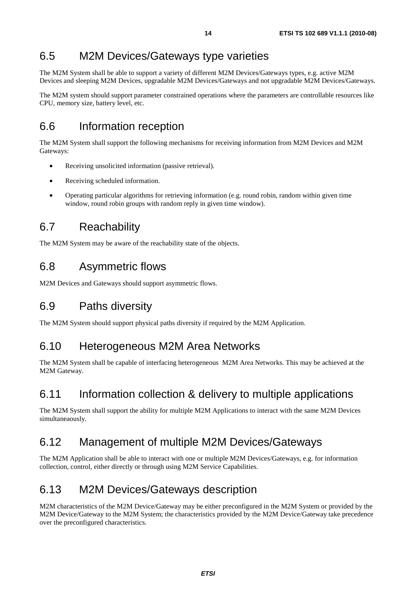# 6.5 M2M Devices/Gateways type varieties

The M2M System shall be able to support a variety of different M2M Devices/Gateways types, e.g. active M2M Devices and sleeping M2M Devices, upgradable M2M Devices/Gateways and not upgradable M2M Devices/Gateways.

The M2M system should support parameter constrained operations where the parameters are controllable resources like CPU, memory size, battery level, etc.

# 6.6 Information reception

The M2M System shall support the following mechanisms for receiving information from M2M Devices and M2M Gateways:

- Receiving unsolicited information (passive retrieval).
- Receiving scheduled information.
- Operating particular algorithms for retrieving information (e.g. round robin, random within given time window, round robin groups with random reply in given time window).

### 6.7 Reachability

The M2M System may be aware of the reachability state of the objects.

#### 6.8 Asymmetric flows

M2M Devices and Gateways should support asymmetric flows.

#### 6.9 Paths diversity

The M2M System should support physical paths diversity if required by the M2M Application.

#### 6.10 Heterogeneous M2M Area Networks

The M2M System shall be capable of interfacing heterogeneous M2M Area Networks. This may be achieved at the M2M Gateway.

#### 6.11 Information collection & delivery to multiple applications

The M2M System shall support the ability for multiple M2M Applications to interact with the same M2M Devices simultaneaously.

#### 6.12 Management of multiple M2M Devices/Gateways

The M2M Application shall be able to interact with one or multiple M2M Devices/Gateways, e.g. for information collection, control, either directly or through using M2M Service Capabilities.

### 6.13 M2M Devices/Gateways description

M2M characteristics of the M2M Device/Gateway may be either preconfigured in the M2M System or provided by the M2M Device/Gateway to the M2M System; the characteristics provided by the M2M Device/Gateway take precedence over the preconfigured characteristics.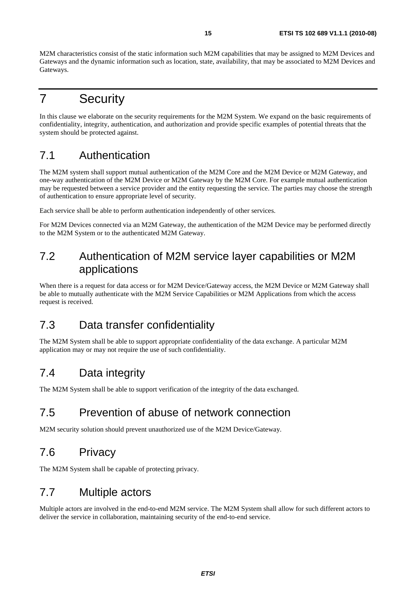M2M characteristics consist of the static information such M2M capabilities that may be assigned to M2M Devices and Gateways and the dynamic information such as location, state, availability, that may be associated to M2M Devices and Gateways.

# 7 Security

In this clause we elaborate on the security requirements for the M2M System. We expand on the basic requirements of confidentiality, integrity, authentication, and authorization and provide specific examples of potential threats that the system should be protected against.

# 7.1 Authentication

The M2M system shall support mutual authentication of the M2M Core and the M2M Device or M2M Gateway, and one-way authentication of the M2M Device or M2M Gateway by the M2M Core. For example mutual authentication may be requested between a service provider and the entity requesting the service. The parties may choose the strength of authentication to ensure appropriate level of security.

Each service shall be able to perform authentication independently of other services.

For M2M Devices connected via an M2M Gateway, the authentication of the M2M Device may be performed directly to the M2M System or to the authenticated M2M Gateway.

#### 7.2 Authentication of M2M service layer capabilities or M2M applications

When there is a request for data access or for M2M Device/Gateway access, the M2M Device or M2M Gateway shall be able to mutually authenticate with the M2M Service Capabilities or M2M Applications from which the access request is received.

# 7.3 Data transfer confidentiality

The M2M System shall be able to support appropriate confidentiality of the data exchange. A particular M2M application may or may not require the use of such confidentiality.

# 7.4 Data integrity

The M2M System shall be able to support verification of the integrity of the data exchanged.

### 7.5 Prevention of abuse of network connection

M2M security solution should prevent unauthorized use of the M2M Device/Gateway.

# 7.6 Privacy

The M2M System shall be capable of protecting privacy.

#### 7.7 Multiple actors

Multiple actors are involved in the end-to-end M2M service. The M2M System shall allow for such different actors to deliver the service in collaboration, maintaining security of the end-to-end service.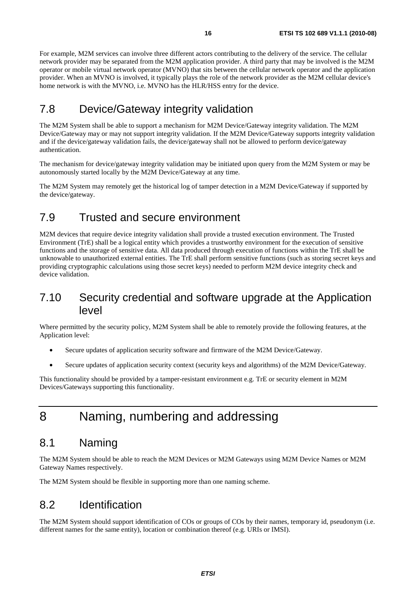For example, M2M services can involve three different actors contributing to the delivery of the service. The cellular network provider may be separated from the M2M application provider. A third party that may be involved is the M2M operator or mobile virtual network operator (MVNO) that sits between the cellular network operator and the application provider. When an MVNO is involved, it typically plays the role of the network provider as the M2M cellular device's home network is with the MVNO, i.e. MVNO has the HLR/HSS entry for the device.

### 7.8 Device/Gateway integrity validation

The M2M System shall be able to support a mechanism for M2M Device/Gateway integrity validation. The M2M Device/Gateway may or may not support integrity validation. If the M2M Device/Gateway supports integrity validation and if the device/gateway validation fails, the device/gateway shall not be allowed to perform device/gateway authentication.

The mechanism for device/gateway integrity validation may be initiated upon query from the M2M System or may be autonomously started locally by the M2M Device/Gateway at any time.

The M2M System may remotely get the historical log of tamper detection in a M2M Device/Gateway if supported by the device/gateway.

### 7.9 Trusted and secure environment

M2M devices that require device integrity validation shall provide a trusted execution environment. The Trusted Environment (TrE) shall be a logical entity which provides a trustworthy environment for the execution of sensitive functions and the storage of sensitive data. All data produced through execution of functions within the TrE shall be unknowable to unauthorized external entities. The TrE shall perform sensitive functions (such as storing secret keys and providing cryptographic calculations using those secret keys) needed to perform M2M device integrity check and device validation.

#### 7.10 Security credential and software upgrade at the Application level

Where permitted by the security policy, M2M System shall be able to remotely provide the following features, at the Application level:

- Secure updates of application security software and firmware of the M2M Device/Gateway.
- Secure updates of application security context (security keys and algorithms) of the M2M Device/Gateway.

This functionality should be provided by a tamper-resistant environment e.g. TrE or security element in M2M Devices/Gateways supporting this functionality.

# 8 Naming, numbering and addressing

#### 8.1 Naming

The M2M System should be able to reach the M2M Devices or M2M Gateways using M2M Device Names or M2M Gateway Names respectively.

The M2M System should be flexible in supporting more than one naming scheme.

#### 8.2 Identification

The M2M System should support identification of COs or groups of COs by their names, temporary id, pseudonym (i.e. different names for the same entity), location or combination thereof (e.g. URIs or IMSI).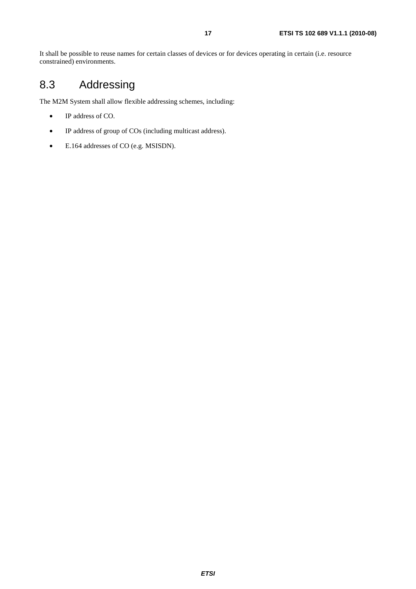It shall be possible to reuse names for certain classes of devices or for devices operating in certain (i.e. resource constrained) environments.

# 8.3 Addressing

The M2M System shall allow flexible addressing schemes, including:

- IP address of CO.
- IP address of group of COs (including multicast address).
- E.164 addresses of CO (e.g. MSISDN).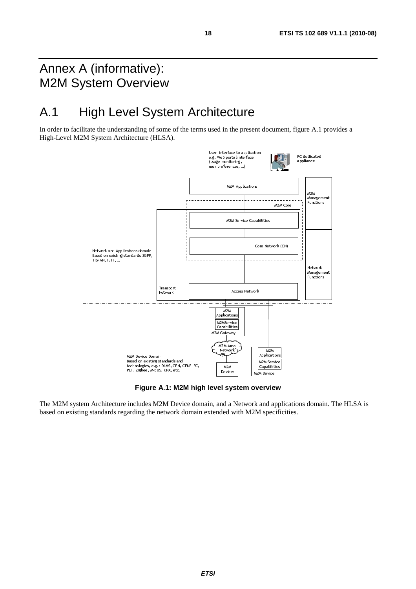# Annex A (informative): M2M System Overview

# A.1 High Level System Architecture

In order to facilitate the understanding of some of the terms used in the present document, figure A.1 provides a High-Level M2M System Architecture (HLSA).



**Figure A.1: M2M high level system overview** 

The M2M system Architecture includes M2M Device domain, and a Network and applications domain. The HLSA is based on existing standards regarding the network domain extended with M2M specificities.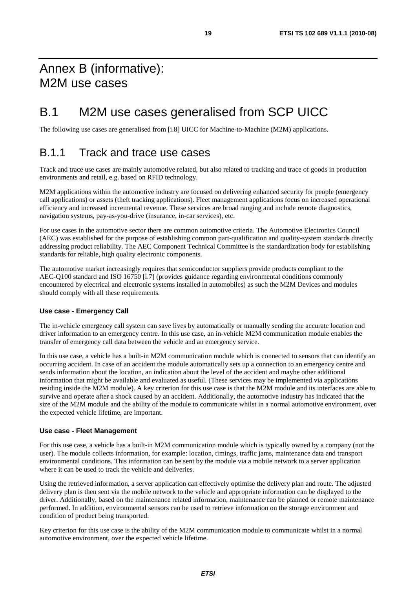# Annex B (informative): M2M use cases

# B.1 M2M use cases generalised from SCP UICC

The following use cases are generalised from [i.8] UICC for Machine-to-Machine (M2M) applications.

#### B.1.1 Track and trace use cases

Track and trace use cases are mainly automotive related, but also related to tracking and trace of goods in production environments and retail, e.g. based on RFID technology.

M2M applications within the automotive industry are focused on delivering enhanced security for people (emergency call applications) or assets (theft tracking applications). Fleet management applications focus on increased operational efficiency and increased incremental revenue. These services are broad ranging and include remote diagnostics, navigation systems, pay-as-you-drive (insurance, in-car services), etc.

For use cases in the automotive sector there are common automotive criteria. The Automotive Electronics Council (AEC) was established for the purpose of establishing common part-qualification and quality-system standards directly addressing product reliability. The AEC Component Technical Committee is the standardization body for establishing standards for reliable, high quality electronic components.

The automotive market increasingly requires that semiconductor suppliers provide products compliant to the AEC-Q100 standard and ISO 16750 [i.7] (provides guidance regarding environmental conditions commonly encountered by electrical and electronic systems installed in automobiles) as such the M2M Devices and modules should comply with all these requirements.

#### **Use case - Emergency Call**

The in-vehicle emergency call system can save lives by automatically or manually sending the accurate location and driver information to an emergency centre. In this use case, an in-vehicle M2M communication module enables the transfer of emergency call data between the vehicle and an emergency service.

In this use case, a vehicle has a built-in M2M communication module which is connected to sensors that can identify an occurring accident. In case of an accident the module automatically sets up a connection to an emergency centre and sends information about the location, an indication about the level of the accident and maybe other additional information that might be available and evaluated as useful. (These services may be implemented via applications residing inside the M2M module). A key criterion for this use case is that the M2M module and its interfaces are able to survive and operate after a shock caused by an accident. Additionally, the automotive industry has indicated that the size of the M2M module and the ability of the module to communicate whilst in a normal automotive environment, over the expected vehicle lifetime, are important.

#### **Use case - Fleet Management**

For this use case, a vehicle has a built-in M2M communication module which is typically owned by a company (not the user). The module collects information, for example: location, timings, traffic jams, maintenance data and transport environmental conditions. This information can be sent by the module via a mobile network to a server application where it can be used to track the vehicle and deliveries.

Using the retrieved information, a server application can effectively optimise the delivery plan and route. The adjusted delivery plan is then sent via the mobile network to the vehicle and appropriate information can be displayed to the driver. Additionally, based on the maintenance related information, maintenance can be planned or remote maintenance performed. In addition, environmental sensors can be used to retrieve information on the storage environment and condition of product being transported.

Key criterion for this use case is the ability of the M2M communication module to communicate whilst in a normal automotive environment, over the expected vehicle lifetime.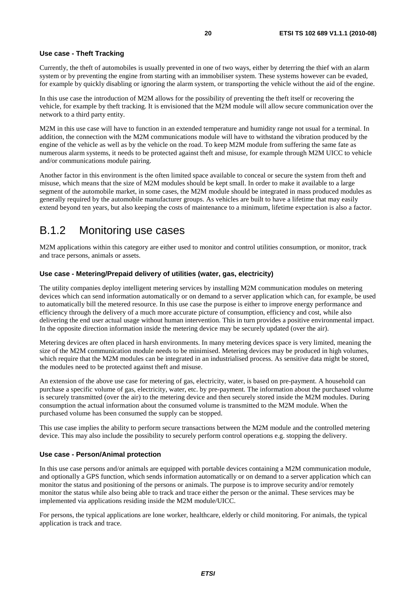#### **Use case - Theft Tracking**

Currently, the theft of automobiles is usually prevented in one of two ways, either by deterring the thief with an alarm system or by preventing the engine from starting with an immobiliser system. These systems however can be evaded, for example by quickly disabling or ignoring the alarm system, or transporting the vehicle without the aid of the engine.

In this use case the introduction of M2M allows for the possibility of preventing the theft itself or recovering the vehicle, for example by theft tracking. It is envisioned that the M2M module will allow secure communication over the network to a third party entity.

M2M in this use case will have to function in an extended temperature and humidity range not usual for a terminal. In addition, the connection with the M2M communications module will have to withstand the vibration produced by the engine of the vehicle as well as by the vehicle on the road. To keep M2M module from suffering the same fate as numerous alarm systems, it needs to be protected against theft and misuse, for example through M2M UICC to vehicle and/or communications module pairing.

Another factor in this environment is the often limited space available to conceal or secure the system from theft and misuse, which means that the size of M2M modules should be kept small. In order to make it available to a large segment of the automobile market, in some cases, the M2M module should be integrated in mass produced modules as generally required by the automobile manufacturer groups. As vehicles are built to have a lifetime that may easily extend beyond ten years, but also keeping the costs of maintenance to a minimum, lifetime expectation is also a factor.

#### B.1.2 Monitoring use cases

M2M applications within this category are either used to monitor and control utilities consumption, or monitor, track and trace persons, animals or assets.

#### **Use case - Metering/Prepaid delivery of utilities (water, gas, electricity)**

The utility companies deploy intelligent metering services by installing M2M communication modules on metering devices which can send information automatically or on demand to a server application which can, for example, be used to automatically bill the metered resource. In this use case the purpose is either to improve energy performance and efficiency through the delivery of a much more accurate picture of consumption, efficiency and cost, while also delivering the end user actual usage without human intervention. This in turn provides a positive environmental impact. In the opposite direction information inside the metering device may be securely updated (over the air).

Metering devices are often placed in harsh environments. In many metering devices space is very limited, meaning the size of the M2M communication module needs to be minimised. Metering devices may be produced in high volumes, which require that the M2M modules can be integrated in an industrialised process. As sensitive data might be stored, the modules need to be protected against theft and misuse.

An extension of the above use case for metering of gas, electricity, water, is based on pre-payment. A household can purchase a specific volume of gas, electricity, water, etc. by pre-payment. The information about the purchased volume is securely transmitted (over the air) to the metering device and then securely stored inside the M2M modules. During consumption the actual information about the consumed volume is transmitted to the M2M module. When the purchased volume has been consumed the supply can be stopped.

This use case implies the ability to perform secure transactions between the M2M module and the controlled metering device. This may also include the possibility to securely perform control operations e.g. stopping the delivery.

#### **Use case - Person/Animal protection**

In this use case persons and/or animals are equipped with portable devices containing a M2M communication module, and optionally a GPS function, which sends information automatically or on demand to a server application which can monitor the status and positioning of the persons or animals. The purpose is to improve security and/or remotely monitor the status while also being able to track and trace either the person or the animal. These services may be implemented via applications residing inside the M2M module/UICC.

For persons, the typical applications are lone worker, healthcare, elderly or child monitoring. For animals, the typical application is track and trace.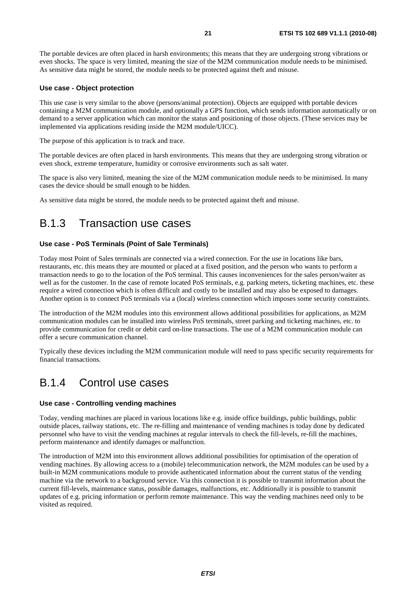The portable devices are often placed in harsh environments; this means that they are undergoing strong vibrations or even shocks. The space is very limited, meaning the size of the M2M communication module needs to be minimised. As sensitive data might be stored, the module needs to be protected against theft and misuse.

#### **Use case - Object protection**

This use case is very similar to the above (persons/animal protection). Objects are equipped with portable devices containing a M2M communication module, and optionally a GPS function, which sends information automatically or on demand to a server application which can monitor the status and positioning of those objects. (These services may be implemented via applications residing inside the M2M module/UICC).

The purpose of this application is to track and trace.

The portable devices are often placed in harsh environments. This means that they are undergoing strong vibration or even shock, extreme temperature, humidity or corrosive environments such as salt water.

The space is also very limited, meaning the size of the M2M communication module needs to be minimised. In many cases the device should be small enough to be hidden.

As sensitive data might be stored, the module needs to be protected against theft and misuse.

#### B.1.3 Transaction use cases

#### **Use case - PoS Terminals (Point of Sale Terminals)**

Today most Point of Sales terminals are connected via a wired connection. For the use in locations like bars, restaurants, etc. this means they are mounted or placed at a fixed position, and the person who wants to perform a transaction needs to go to the location of the PoS terminal. This causes inconveniences for the sales person/waiter as well as for the customer. In the case of remote located PoS terminals, e.g. parking meters, ticketing machines, etc. these require a wired connection which is often difficult and costly to be installed and may also be exposed to damages. Another option is to connect PoS terminals via a (local) wireless connection which imposes some security constraints.

The introduction of the M2M modules into this environment allows additional possibilities for applications, as M2M communication modules can be installed into wireless PoS terminals, street parking and ticketing machines, etc. to provide communication for credit or debit card on-line transactions. The use of a M2M communication module can offer a secure communication channel.

Typically these devices including the M2M communication module will need to pass specific security requirements for financial transactions.

#### B.1.4 Control use cases

#### **Use case - Controlling vending machines**

Today, vending machines are placed in various locations like e.g. inside office buildings, public buildings, public outside places, railway stations, etc. The re-filling and maintenance of vending machines is today done by dedicated personnel who have to visit the vending machines at regular intervals to check the fill-levels, re-fill the machines, perform maintenance and identify damages or malfunction.

The introduction of M2M into this environment allows additional possibilities for optimisation of the operation of vending machines. By allowing access to a (mobile) telecommunication network, the M2M modules can be used by a built-in M2M communications module to provide authenticated information about the current status of the vending machine via the network to a background service. Via this connection it is possible to transmit information about the current fill-levels, maintenance status, possible damages, malfunctions, etc. Additionally it is possible to transmit updates of e.g. pricing information or perform remote maintenance. This way the vending machines need only to be visited as required.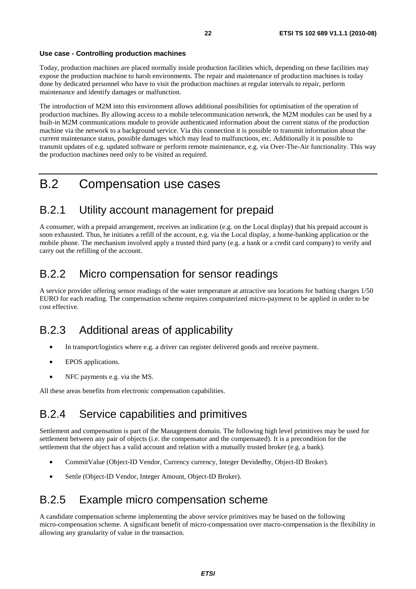#### **Use case - Controlling production machines**

Today, production machines are placed normally inside production facilities which, depending on these facilities may expose the production machine to harsh environments. The repair and maintenance of production machines is today done by dedicated personnel who have to visit the production machines at regular intervals to repair, perform maintenance and identify damages or malfunction.

The introduction of M2M into this environment allows additional possibilities for optimisation of the operation of production machines. By allowing access to a mobile telecommunication network, the M2M modules can be used by a built-in M2M communications module to provide authenticated information about the current status of the production machine via the network to a background service. Via this connection it is possible to transmit information about the current maintenance status, possible damages which may lead to malfunctions, etc. Additionally it is possible to transmit updates of e.g. updated software or perform remote maintenance, e.g. via Over-The-Air functionality. This way the production machines need only to be visited as required.

# B.2 Compensation use cases

#### B.2.1 Utility account management for prepaid

A consumer, with a prepaid arrangement, receives an indication (e.g. on the Local display) that his prepaid account is soon exhausted. Thus, he initiates a refill of the account, e.g. via the Local display, a home-banking application or the mobile phone. The mechanism involved apply a trusted third party (e.g. a bank or a credit card company) to verify and carry out the refilling of the account.

#### B.2.2 Micro compensation for sensor readings

A service provider offering sensor readings of the water temperature at attractive sea locations for bathing charges 1/50 EURO for each reading. The compensation scheme requires computerized micro-payment to be applied in order to be cost effective.

### B.2.3 Additional areas of applicability

- In transport/logistics where e.g. a driver can register delivered goods and receive payment.
- EPOS applications.
- NFC payments e.g. via the MS.

All these areas benefits from electronic compensation capabilities.

#### B.2.4 Service capabilities and primitives

Settlement and compensation is part of the Management domain. The following high level primitives may be used for settlement between any pair of objects (i.e. the compensator and the compensated). It is a precondition for the settlement that the object has a valid account and relation with a mutually trusted broker (e.g. a bank).

- CommitValue (Object-ID Vendor, Currency currency, Integer Devidedby, Object-ID Broker).
- Settle (Object-ID Vendor, Integer Amount, Object-ID Broker).

#### B.2.5 Example micro compensation scheme

A candidate compensation scheme implementing the above service primitives may be based on the following micro-compensation scheme. A significant benefit of micro-compensation over macro-compensation is the flexibility in allowing any granularity of value in the transaction.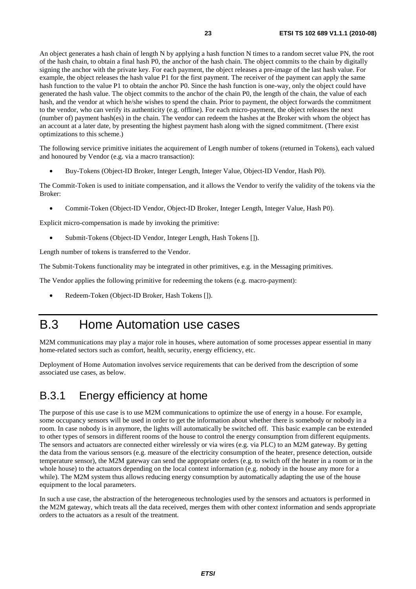An object generates a hash chain of length N by applying a hash function N times to a random secret value PN, the root of the hash chain, to obtain a final hash P0, the anchor of the hash chain. The object commits to the chain by digitally signing the anchor with the private key. For each payment, the object releases a pre-image of the last hash value. For example, the object releases the hash value P1 for the first payment. The receiver of the payment can apply the same hash function to the value P1 to obtain the anchor P0. Since the hash function is one-way, only the object could have generated the hash value. The object commits to the anchor of the chain P0, the length of the chain, the value of each hash, and the vendor at which he/she wishes to spend the chain. Prior to payment, the object forwards the commitment to the vendor, who can verify its authenticity (e.g. offline). For each micro-payment, the object releases the next (number of) payment hash(es) in the chain. The vendor can redeem the hashes at the Broker with whom the object has an account at a later date, by presenting the highest payment hash along with the signed commitment. (There exist optimizations to this scheme.)

The following service primitive initiates the acquirement of Length number of tokens (returned in Tokens), each valued and honoured by Vendor (e.g. via a macro transaction):

• Buy-Tokens (Object-ID Broker, Integer Length, Integer Value, Object-ID Vendor, Hash P0).

The Commit-Token is used to initiate compensation, and it allows the Vendor to verify the validity of the tokens via the Broker:

• Commit-Token (Object-ID Vendor, Object-ID Broker, Integer Length, Integer Value, Hash P0).

Explicit micro-compensation is made by invoking the primitive:

• Submit-Tokens (Object-ID Vendor, Integer Length, Hash Tokens []).

Length number of tokens is transferred to the Vendor.

The Submit-Tokens functionality may be integrated in other primitives, e.g. in the Messaging primitives.

The Vendor applies the following primitive for redeeming the tokens (e.g. macro-payment):

• Redeem-Token (Object-ID Broker, Hash Tokens []).

# B.3 Home Automation use cases

M2M communications may play a major role in houses, where automation of some processes appear essential in many home-related sectors such as comfort, health, security, energy efficiency, etc.

Deployment of Home Automation involves service requirements that can be derived from the description of some associated use cases, as below.

#### B.3.1 Energy efficiency at home

The purpose of this use case is to use M2M communications to optimize the use of energy in a house. For example, some occupancy sensors will be used in order to get the information about whether there is somebody or nobody in a room. In case nobody is in anymore, the lights will automatically be switched off. This basic example can be extended to other types of sensors in different rooms of the house to control the energy consumption from different equipments. The sensors and actuators are connected either wirelessly or via wires (e.g. via PLC) to an M2M gateway. By getting the data from the various sensors (e.g. measure of the electricity consumption of the heater, presence detection, outside temperature sensor), the M2M gateway can send the appropriate orders (e.g. to switch off the heater in a room or in the whole house) to the actuators depending on the local context information (e.g. nobody in the house any more for a while). The M2M system thus allows reducing energy consumption by automatically adapting the use of the house equipment to the local parameters.

In such a use case, the abstraction of the heterogeneous technologies used by the sensors and actuators is performed in the M2M gateway, which treats all the data received, merges them with other context information and sends appropriate orders to the actuators as a result of the treatment.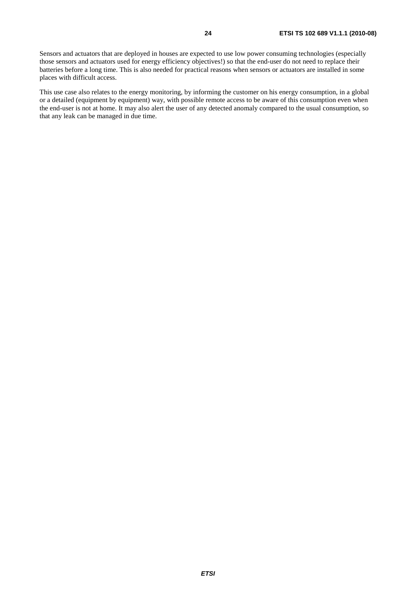Sensors and actuators that are deployed in houses are expected to use low power consuming technologies (especially those sensors and actuators used for energy efficiency objectives!) so that the end-user do not need to replace their batteries before a long time. This is also needed for practical reasons when sensors or actuators are installed in some places with difficult access.

This use case also relates to the energy monitoring, by informing the customer on his energy consumption, in a global or a detailed (equipment by equipment) way, with possible remote access to be aware of this consumption even when the end-user is not at home. It may also alert the user of any detected anomaly compared to the usual consumption, so that any leak can be managed in due time.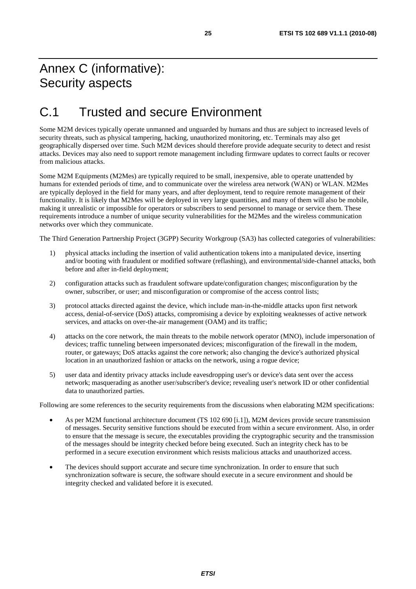# Annex C (informative): Security aspects

# C.1 Trusted and secure Environment

Some M2M devices typically operate unmanned and unguarded by humans and thus are subject to increased levels of security threats, such as physical tampering, hacking, unauthorized monitoring, etc. Terminals may also get geographically dispersed over time. Such M2M devices should therefore provide adequate security to detect and resist attacks. Devices may also need to support remote management including firmware updates to correct faults or recover from malicious attacks.

Some M2M Equipments (M2Mes) are typically required to be small, inexpensive, able to operate unattended by humans for extended periods of time, and to communicate over the wireless area network (WAN) or WLAN. M2Mes are typically deployed in the field for many years, and after deployment, tend to require remote management of their functionality. It is likely that M2Mes will be deployed in very large quantities, and many of them will also be mobile, making it unrealistic or impossible for operators or subscribers to send personnel to manage or service them. These requirements introduce a number of unique security vulnerabilities for the M2Mes and the wireless communication networks over which they communicate.

The Third Generation Partnership Project (3GPP) Security Workgroup (SA3) has collected categories of vulnerabilities:

- 1) physical attacks including the insertion of valid authentication tokens into a manipulated device, inserting and/or booting with fraudulent or modified software (reflashing), and environmental/side-channel attacks, both before and after in-field deployment;
- 2) configuration attacks such as fraudulent software update/configuration changes; misconfiguration by the owner, subscriber, or user; and misconfiguration or compromise of the access control lists;
- 3) protocol attacks directed against the device, which include man-in-the-middle attacks upon first network access, denial-of-service (DoS) attacks, compromising a device by exploiting weaknesses of active network services, and attacks on over-the-air management (OAM) and its traffic;
- 4) attacks on the core network, the main threats to the mobile network operator (MNO), include impersonation of devices; traffic tunneling between impersonated devices; misconfiguration of the firewall in the modem, router, or gateways; DoS attacks against the core network; also changing the device's authorized physical location in an unauthorized fashion or attacks on the network, using a rogue device;
- 5) user data and identity privacy attacks include eavesdropping user's or device's data sent over the access network; masquerading as another user/subscriber's device; revealing user's network ID or other confidential data to unauthorized parties.

Following are some references to the security requirements from the discussions when elaborating M2M specifications:

- As per M2M functional architecture document (TS 102 690 [i.1]), M2M devices provide secure transmission of messages. Security sensitive functions should be executed from within a secure environment. Also, in order to ensure that the message is secure, the executables providing the cryptographic security and the transmission of the messages should be integrity checked before being executed. Such an integrity check has to be performed in a secure execution environment which resists malicious attacks and unauthorized access.
- The devices should support accurate and secure time synchronization. In order to ensure that such synchronization software is secure, the software should execute in a secure environment and should be integrity checked and validated before it is executed.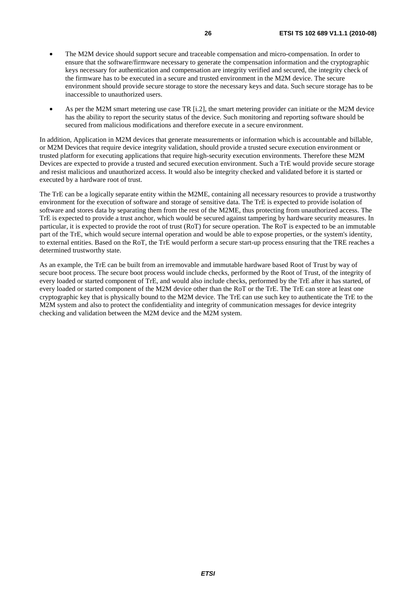- The M2M device should support secure and traceable compensation and micro-compensation. In order to ensure that the software/firmware necessary to generate the compensation information and the cryptographic keys necessary for authentication and compensation are integrity verified and secured, the integrity check of the firmware has to be executed in a secure and trusted environment in the M2M device. The secure environment should provide secure storage to store the necessary keys and data. Such secure storage has to be inaccessible to unauthorized users.
- As per the M2M smart metering use case TR [i.2], the smart metering provider can initiate or the M2M device has the ability to report the security status of the device. Such monitoring and reporting software should be secured from malicious modifications and therefore execute in a secure environment.

In addition, Application in M2M devices that generate measurements or information which is accountable and billable, or M2M Devices that require device integrity validation, should provide a trusted secure execution environment or trusted platform for executing applications that require high-security execution environments. Therefore these M2M Devices are expected to provide a trusted and secured execution environment. Such a TrE would provide secure storage and resist malicious and unauthorized access. It would also be integrity checked and validated before it is started or executed by a hardware root of trust.

The TrE can be a logically separate entity within the M2ME, containing all necessary resources to provide a trustworthy environment for the execution of software and storage of sensitive data. The TrE is expected to provide isolation of software and stores data by separating them from the rest of the M2ME, thus protecting from unauthorized access. The TrE is expected to provide a trust anchor, which would be secured against tampering by hardware security measures. In particular, it is expected to provide the root of trust (RoT) for secure operation. The RoT is expected to be an immutable part of the TrE, which would secure internal operation and would be able to expose properties, or the system's identity, to external entities. Based on the RoT, the TrE would perform a secure start-up process ensuring that the TRE reaches a determined trustworthy state.

As an example, the TrE can be built from an irremovable and immutable hardware based Root of Trust by way of secure boot process. The secure boot process would include checks, performed by the Root of Trust, of the integrity of every loaded or started component of TrE, and would also include checks, performed by the TrE after it has started, of every loaded or started component of the M2M device other than the RoT or the TrE. The TrE can store at least one cryptographic key that is physically bound to the M2M device. The TrE can use such key to authenticate the TrE to the M2M system and also to protect the confidentiality and integrity of communication messages for device integrity checking and validation between the M2M device and the M2M system.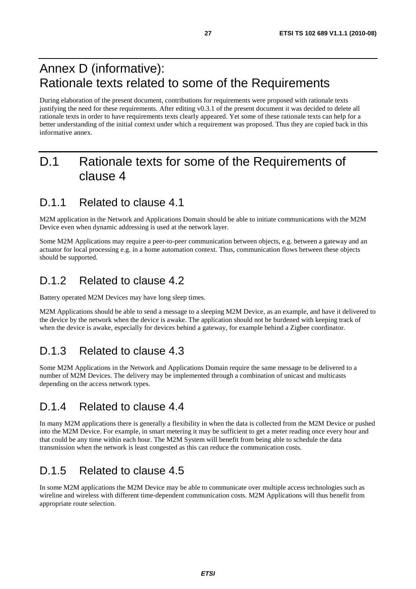# Annex D (informative): Rationale texts related to some of the Requirements

During elaboration of the present document, contributions for requirements were proposed with rationale texts justifying the need for these requirements. After editing v0.3.1 of the present document it was decided to delete all rationale texts in order to have requirements texts clearly appeared. Yet some of these rationale texts can help for a better understanding of the initial context under which a requirement was proposed. Thus they are copied back in this informative annex.

# D.1 Rationale texts for some of the Requirements of clause 4

#### D.1.1 Related to clause 4.1

M2M application in the Network and Applications Domain should be able to initiate communications with the M2M Device even when dynamic addressing is used at the network layer.

Some M2M Applications may require a peer-to-peer communication between objects, e.g. between a gateway and an actuator for local processing e.g. in a home automation context. Thus, communication flows between these objects should be supported.

#### D.1.2 Related to clause 4.2

Battery operated M2M Devices may have long sleep times.

M2M Applications should be able to send a message to a sleeping M2M Device, as an example, and have it delivered to the device by the network when the device is awake. The application should not be burdened with keeping track of when the device is awake, especially for devices behind a gateway, for example behind a Zigbee coordinator.

#### D.1.3 Related to clause 4.3

Some M2M Applications in the Network and Applications Domain require the same message to be delivered to a number of M2M Devices. The delivery may be implemented through a combination of unicast and multicasts depending on the access network types.

#### D.1.4 Related to clause 4.4

In many M2M applications there is generally a flexibility in when the data is collected from the M2M Device or pushed into the M2M Device. For example, in smart metering it may be sufficient to get a meter reading once every hour and that could be any time within each hour. The M2M System will benefit from being able to schedule the data transmission when the network is least congested as this can reduce the communication costs.

### D.1.5 Related to clause 4.5

In some M2M applications the M2M Device may be able to communicate over multiple access technologies such as wireline and wireless with different time-dependent communication costs. M2M Applications will thus benefit from appropriate route selection.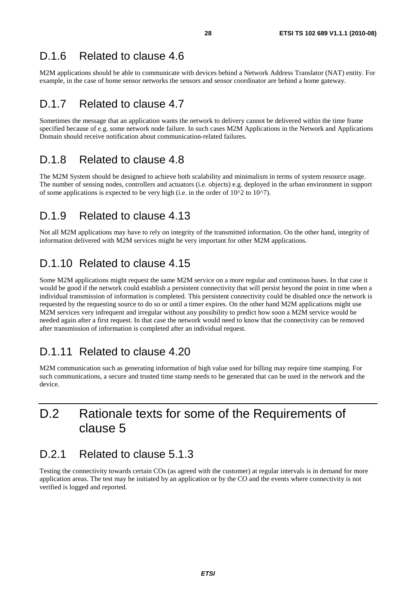M2M applications should be able to communicate with devices behind a Network Address Translator (NAT) entity. For example, in the case of home sensor networks the sensors and sensor coordinator are behind a home gateway.

#### D.1.7 Related to clause 4.7

Sometimes the message that an application wants the network to delivery cannot be delivered within the time frame specified because of e.g. some network node failure. In such cases M2M Applications in the Network and Applications Domain should receive notification about communication-related failures.

#### D.1.8 Related to clause 4.8

The M2M System should be designed to achieve both scalability and minimalism in terms of system resource usage. The number of sensing nodes, controllers and actuators (i.e. objects) e.g. deployed in the urban environment in support of some applications is expected to be very high (i.e. in the order of  $10^{2}$  to  $10^{2}$ ).

#### D.1.9 Related to clause 4.13

Not all M2M applications may have to rely on integrity of the transmitted information. On the other hand, integrity of information delivered with M2M services might be very important for other M2M applications.

### D.1.10 Related to clause 4.15

Some M2M applications might request the same M2M service on a more regular and continuous bases. In that case it would be good if the network could establish a persistent connectivity that will persist beyond the point in time when a individual transmission of information is completed. This persistent connectivity could be disabled once the network is requested by the requesting source to do so or until a timer expires. On the other hand M2M applications might use M2M services very infrequent and irregular without any possibility to predict how soon a M2M service would be needed again after a first request. In that case the network would need to know that the connectivity can be removed after transmission of information is completed after an individual request.

#### D.1.11 Related to clause 4.20

M2M communication such as generating information of high value used for billing may require time stamping. For such communications, a secure and trusted time stamp needs to be generated that can be used in the network and the device.

# D.2 Rationale texts for some of the Requirements of clause 5

#### D.2.1 Related to clause 5.1.3

Testing the connectivity towards certain COs (as agreed with the customer) at regular intervals is in demand for more application areas. The test may be initiated by an application or by the CO and the events where connectivity is not verified is logged and reported.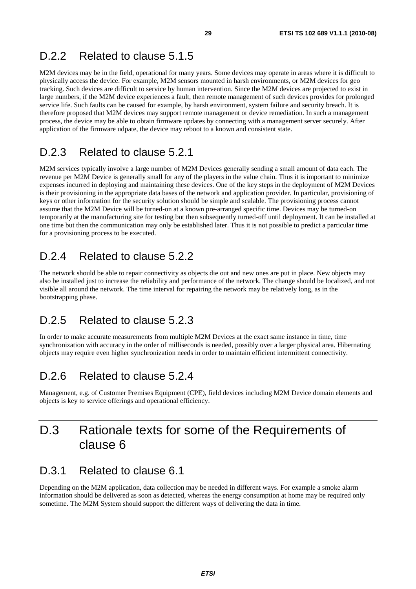#### D.2.2 Related to clause 5.1.5

M2M devices may be in the field, operational for many years. Some devices may operate in areas where it is difficult to physically access the device. For example, M2M sensors mounted in harsh environments, or M2M devices for geo tracking. Such devices are difficult to service by human intervention. Since the M2M devices are projected to exist in large numbers, if the M2M device experiences a fault, then remote management of such devices provides for prolonged service life. Such faults can be caused for example, by harsh environment, system failure and security breach. It is therefore proposed that M2M devices may support remote management or device remediation. In such a management process, the device may be able to obtain firmware updates by connecting with a management server securely. After application of the firmware udpate, the device may reboot to a known and consistent state.

#### D.2.3 Related to clause 5.2.1

M2M services typically involve a large number of M2M Devices generally sending a small amount of data each. The revenue per M2M Device is generally small for any of the players in the value chain. Thus it is important to minimize expenses incurred in deploying and maintaining these devices. One of the key steps in the deployment of M2M Devices is their provisioning in the appropriate data bases of the network and application provider. In particular, provisioning of keys or other information for the security solution should be simple and scalable. The provisioning process cannot assume that the M2M Device will be turned-on at a known pre-arranged specific time. Devices may be turned-on temporarily at the manufacturing site for testing but then subsequently turned-off until deployment. It can be installed at one time but then the communication may only be established later. Thus it is not possible to predict a particular time for a provisioning process to be executed.

#### D.2.4 Related to clause 5.2.2

The network should be able to repair connectivity as objects die out and new ones are put in place. New objects may also be installed just to increase the reliability and performance of the network. The change should be localized, and not visible all around the network. The time interval for repairing the network may be relatively long, as in the bootstrapping phase.

#### D.2.5 Related to clause 5.2.3

In order to make accurate measurements from multiple M2M Devices at the exact same instance in time, time synchronization with accuracy in the order of milliseconds is needed, possibly over a larger physical area. Hibernating objects may require even higher synchronization needs in order to maintain efficient intermittent connectivity.

#### D.2.6 Related to clause 5.2.4

Management, e.g. of Customer Premises Equipment (CPE), field devices including M2M Device domain elements and objects is key to service offerings and operational efficiency.

# D.3 Rationale texts for some of the Requirements of clause 6

#### D.3.1 Related to clause 6.1

Depending on the M2M application, data collection may be needed in different ways. For example a smoke alarm information should be delivered as soon as detected, whereas the energy consumption at home may be required only sometime. The M2M System should support the different ways of delivering the data in time.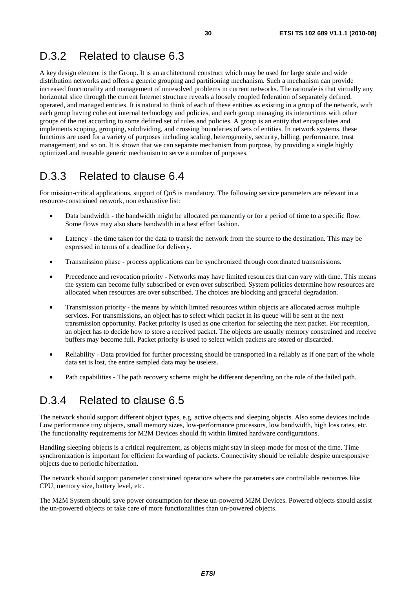#### D.3.2 Related to clause 6.3

A key design element is the Group. It is an architectural construct which may be used for large scale and wide distribution networks and offers a generic grouping and partitioning mechanism. Such a mechanism can provide increased functionality and management of unresolved problems in current networks. The rationale is that virtually any horizontal slice through the current Internet structure reveals a loosely coupled federation of separately defined, operated, and managed entities. It is natural to think of each of these entities as existing in a group of the network, with each group having coherent internal technology and policies, and each group managing its interactions with other groups of the net according to some defined set of rules and policies. A group is an entity that encapsulates and implements scoping, grouping, subdividing, and crossing boundaries of sets of entities. In network systems, these functions are used for a variety of purposes including scaling, heterogeneity, security, billing, performance, trust management, and so on. It is shown that we can separate mechanism from purpose, by providing a single highly optimized and reusable generic mechanism to serve a number of purposes.

#### D.3.3 Related to clause 6.4

For mission-critical applications, support of QoS is mandatory. The following service parameters are relevant in a resource-constrained network, non exhaustive list:

- Data bandwidth the bandwidth might be allocated permanently or for a period of time to a specific flow. Some flows may also share bandwidth in a best effort fashion.
- Latency the time taken for the data to transit the network from the source to the destination. This may be expressed in terms of a deadline for delivery.
- Transmission phase process applications can be synchronized through coordinated transmissions.
- Precedence and revocation priority Networks may have limited resources that can vary with time. This means the system can become fully subscribed or even over subscribed. System policies determine how resources are allocated when resources are over subscribed. The choices are blocking and graceful degradation.
- Transmission priority the means by which limited resources within objects are allocated across multiple services. For transmissions, an object has to select which packet in its queue will be sent at the next transmission opportunity. Packet priority is used as one criterion for selecting the next packet. For reception, an object has to decide how to store a received packet. The objects are usually memory constrained and receive buffers may become full. Packet priority is used to select which packets are stored or discarded.
- Reliability Data provided for further processing should be transported in a reliably as if one part of the whole data set is lost, the entire sampled data may be useless.
- Path capabilities The path recovery scheme might be different depending on the role of the failed path.

#### D.3.4 Related to clause 6.5

The network should support different object types, e.g. active objects and sleeping objects. Also some devices include Low performance tiny objects, small memory sizes, low-performance processors, low bandwidth, high loss rates, etc. The functionality requirements for M2M Devices should fit within limited hardware configurations.

Handling sleeping objects is a critical requirement, as objects might stay in sleep-mode for most of the time. Time synchronization is important for efficient forwarding of packets. Connectivity should be reliable despite unresponsive objects due to periodic hibernation.

The network should support parameter constrained operations where the parameters are controllable resources like CPU, memory size, battery level, etc.

The M2M System should save power consumption for these un-powered M2M Devices. Powered objects should assist the un-powered objects or take care of more functionalities than un-powered objects.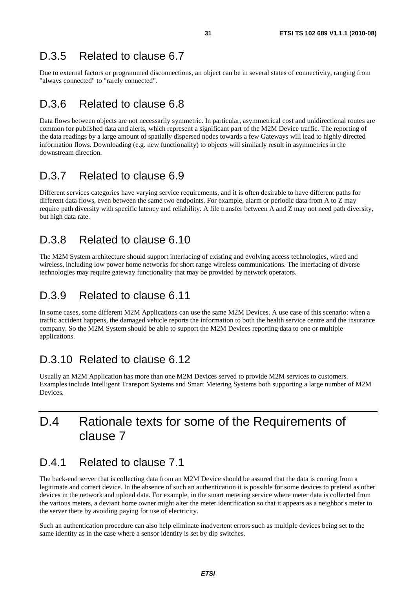#### D.3.5 Related to clause 6.7

Due to external factors or programmed disconnections, an object can be in several states of connectivity, ranging from "always connected" to "rarely connected".

#### D.3.6 Related to clause 6.8

Data flows between objects are not necessarily symmetric. In particular, asymmetrical cost and unidirectional routes are common for published data and alerts, which represent a significant part of the M2M Device traffic. The reporting of the data readings by a large amount of spatially dispersed nodes towards a few Gateways will lead to highly directed information flows. Downloading (e.g. new functionality) to objects will similarly result in asymmetries in the downstream direction.

#### D.3.7 Related to clause 6.9

Different services categories have varying service requirements, and it is often desirable to have different paths for different data flows, even between the same two endpoints. For example, alarm or periodic data from A to Z may require path diversity with specific latency and reliability. A file transfer between A and Z may not need path diversity, but high data rate.

#### D.3.8 Related to clause 6.10

The M2M System architecture should support interfacing of existing and evolving access technologies, wired and wireless, including low power home networks for short range wireless communications. The interfacing of diverse technologies may require gateway functionality that may be provided by network operators.

#### D.3.9 Related to clause 6.11

In some cases, some different M2M Applications can use the same M2M Devices. A use case of this scenario: when a traffic accident happens, the damaged vehicle reports the information to both the health service centre and the insurance company. So the M2M System should be able to support the M2M Devices reporting data to one or multiple applications.

### D.3.10 Related to clause 6.12

Usually an M2M Application has more than one M2M Devices served to provide M2M services to customers. Examples include Intelligent Transport Systems and Smart Metering Systems both supporting a large number of M2M Devices.

# D.4 Rationale texts for some of the Requirements of clause 7

#### D.4.1 Related to clause 7.1

The back-end server that is collecting data from an M2M Device should be assured that the data is coming from a legitimate and correct device. In the absence of such an authentication it is possible for some devices to pretend as other devices in the network and upload data. For example, in the smart metering service where meter data is collected from the various meters, a deviant home owner might alter the meter identification so that it appears as a neighbor's meter to the server there by avoiding paying for use of electricity.

Such an authentication procedure can also help eliminate inadvertent errors such as multiple devices being set to the same identity as in the case where a sensor identity is set by dip switches.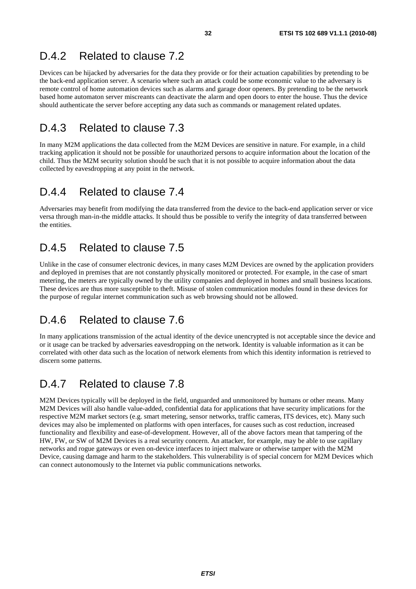#### D.4.2 Related to clause 7.2

Devices can be hijacked by adversaries for the data they provide or for their actuation capabilities by pretending to be the back-end application server. A scenario where such an attack could be some economic value to the adversary is remote control of home automation devices such as alarms and garage door openers. By pretending to be the network based home automaton server miscreants can deactivate the alarm and open doors to enter the house. Thus the device should authenticate the server before accepting any data such as commands or management related updates.

#### D.4.3 Related to clause 7.3

In many M2M applications the data collected from the M2M Devices are sensitive in nature. For example, in a child tracking application it should not be possible for unauthorized persons to acquire information about the location of the child. Thus the M2M security solution should be such that it is not possible to acquire information about the data collected by eavesdropping at any point in the network.

#### D.4.4 Related to clause 7.4

Adversaries may benefit from modifying the data transferred from the device to the back-end application server or vice versa through man-in-the middle attacks. It should thus be possible to verify the integrity of data transferred between the entities.

#### D.4.5 Related to clause 7.5

Unlike in the case of consumer electronic devices, in many cases M2M Devices are owned by the application providers and deployed in premises that are not constantly physically monitored or protected. For example, in the case of smart metering, the meters are typically owned by the utility companies and deployed in homes and small business locations. These devices are thus more susceptible to theft. Misuse of stolen communication modules found in these devices for the purpose of regular internet communication such as web browsing should not be allowed.

#### D.4.6 Related to clause 7.6

In many applications transmission of the actual identity of the device unencrypted is not acceptable since the device and or it usage can be tracked by adversaries eavesdropping on the network. Identity is valuable information as it can be correlated with other data such as the location of network elements from which this identity information is retrieved to discern some patterns.

### D.4.7 Related to clause 7.8

M2M Devices typically will be deployed in the field, unguarded and unmonitored by humans or other means. Many M2M Devices will also handle value-added, confidential data for applications that have security implications for the respective M2M market sectors (e.g. smart metering, sensor networks, traffic cameras, ITS devices, etc). Many such devices may also be implemented on platforms with open interfaces, for causes such as cost reduction, increased functionality and flexibility and ease-of-development. However, all of the above factors mean that tampering of the HW, FW, or SW of M2M Devices is a real security concern. An attacker, for example, may be able to use capillary networks and rogue gateways or even on-device interfaces to inject malware or otherwise tamper with the M2M Device, causing damage and harm to the stakeholders. This vulnerability is of special concern for M2M Devices which can connect autonomously to the Internet via public communications networks.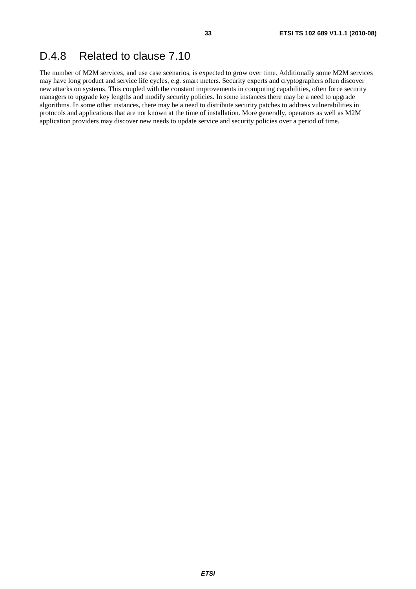### D.4.8 Related to clause 7.10

The number of M2M services, and use case scenarios, is expected to grow over time. Additionally some M2M services may have long product and service life cycles, e.g. smart meters. Security experts and cryptographers often discover new attacks on systems. This coupled with the constant improvements in computing capabilities, often force security managers to upgrade key lengths and modify security policies. In some instances there may be a need to upgrade algorithms. In some other instances, there may be a need to distribute security patches to address vulnerabilities in protocols and applications that are not known at the time of installation. More generally, operators as well as M2M application providers may discover new needs to update service and security policies over a period of time.